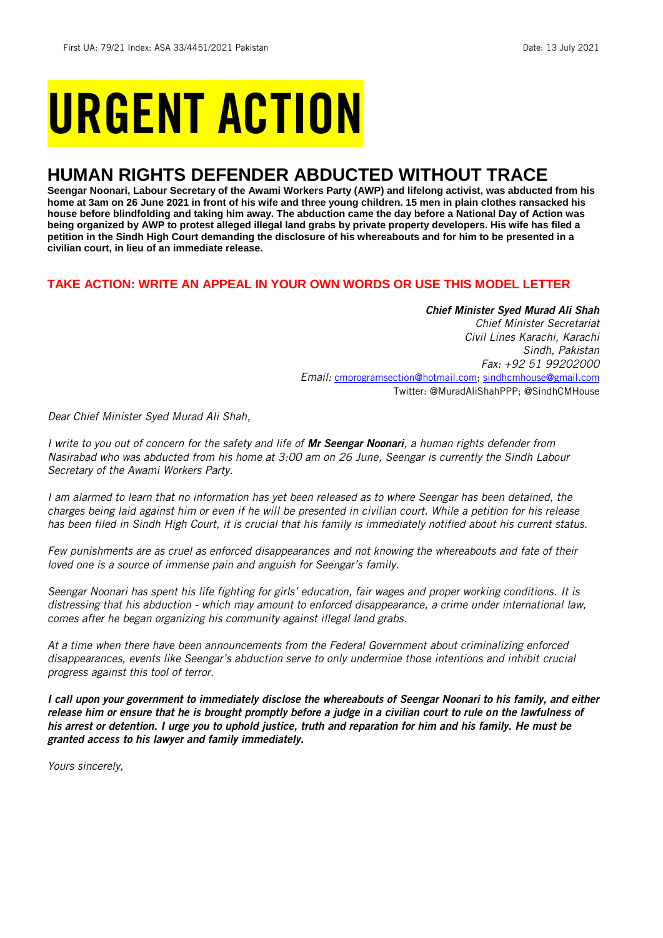# URGENT ACTION

## **HUMAN RIGHTS DEFENDER ABDUCTED WITHOUT TRACE**

**Seengar Noonari, Labour Secretary of the Awami Workers Party (AWP) and lifelong activist, was abducted from his home at 3am on 26 June 2021 in front of his wife and three young children. 15 men in plain clothes ransacked his house before blindfolding and taking him away. The abduction came the day before a National Day of Action was being organized by AWP to protest alleged illegal land grabs by private property developers. His wife has filed a petition in the Sindh High Court demanding the disclosure of his whereabouts and for him to be presented in a civilian court, in lieu of an immediate release.** 

#### **TAKE ACTION: WRITE AN APPEAL IN YOUR OWN WORDS OR USE THIS MODEL LETTER**

#### *Chief Minister Syed Murad Ali Shah*

*Chief Minister Secretariat Civil Lines Karachi, Karachi Sindh, Pakistan Fax: +92 51 99202000 Email:* [cmprogramsection@hotmail.com;](mailto:cmprogramsection@hotmail.com) [sindhcmhouse@gmail.com](mailto:sindhcmhouse@gmail.com) Twitter: @MuradAliShahPPP; @SindhCMHouse

*Dear Chief Minister Syed Murad Ali Shah,*

*I write to you out of concern for the safety and life of Mr Seengar Noonari, a human rights defender from Nasirabad who was abducted from his home at 3:00 am on 26 June, Seengar is currently the Sindh Labour Secretary of the Awami Workers Party.*

*I am alarmed to learn that no information has yet been released as to where Seengar has been detained, the charges being laid against him or even if he will be presented in civilian court. While a petition for his release has been filed in Sindh High Court, it is crucial that his family is immediately notified about his current status.*

*Few punishments are as cruel as enforced disappearances and not knowing the whereabouts and fate of their loved one is a source of immense pain and anguish for Seengar's family.*

*Seengar Noonari has spent his life fighting for girls' education, fair wages and proper working conditions. It is distressing that his abduction - which may amount to enforced disappearance, a crime under international law, comes after he began organizing his community against illegal land grabs.*

*At a time when there have been announcements from the Federal Government about criminalizing enforced disappearances, events like Seengar's abduction serve to only undermine those intentions and inhibit crucial progress against this tool of terror.* 

*I call upon your government to immediately disclose the whereabouts of Seengar Noonari to his family, and either release him or ensure that he is brought promptly before a judge in a civilian court to rule on the lawfulness of his arrest or detention. I urge you to uphold justice, truth and reparation for him and his family. He must be granted access to his lawyer and family immediately.*

*Yours sincerely,*